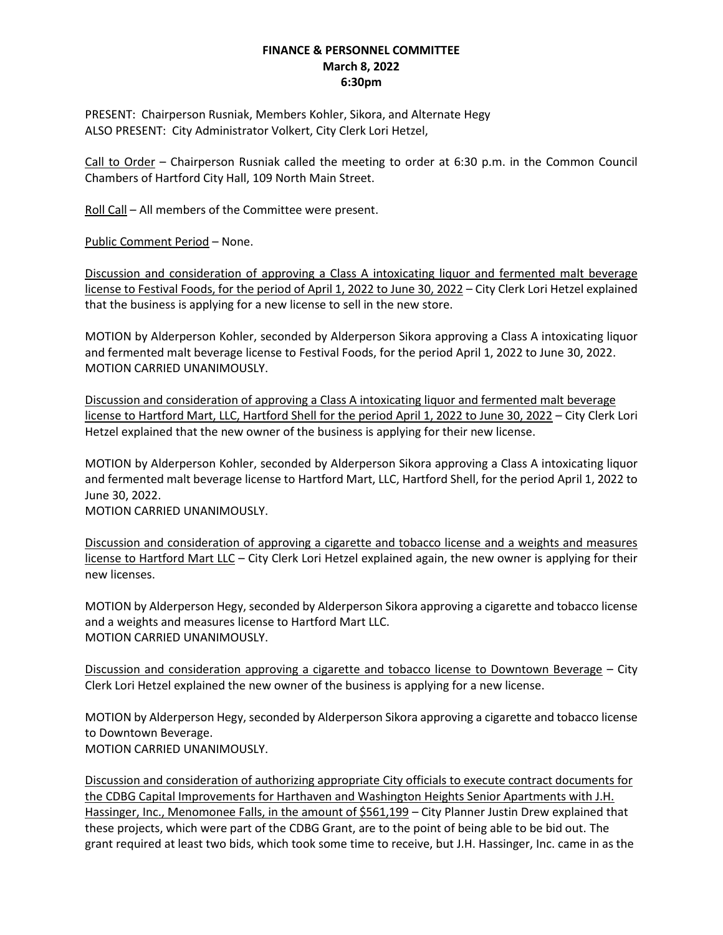## **FINANCE & PERSONNEL COMMITTEE March 8, 2022 6:30pm**

PRESENT: Chairperson Rusniak, Members Kohler, Sikora, and Alternate Hegy ALSO PRESENT: City Administrator Volkert, City Clerk Lori Hetzel,

Call to Order – Chairperson Rusniak called the meeting to order at 6:30 p.m. in the Common Council Chambers of Hartford City Hall, 109 North Main Street.

Roll Call – All members of the Committee were present.

Public Comment Period – None.

Discussion and consideration of approving a Class A intoxicating liquor and fermented malt beverage license to Festival Foods, for the period of April 1, 2022 to June 30, 2022 – City Clerk Lori Hetzel explained that the business is applying for a new license to sell in the new store.

MOTION by Alderperson Kohler, seconded by Alderperson Sikora approving a Class A intoxicating liquor and fermented malt beverage license to Festival Foods, for the period April 1, 2022 to June 30, 2022. MOTION CARRIED UNANIMOUSLY.

Discussion and consideration of approving a Class A intoxicating liquor and fermented malt beverage license to Hartford Mart, LLC, Hartford Shell for the period April 1, 2022 to June 30, 2022 – City Clerk Lori Hetzel explained that the new owner of the business is applying for their new license.

MOTION by Alderperson Kohler, seconded by Alderperson Sikora approving a Class A intoxicating liquor and fermented malt beverage license to Hartford Mart, LLC, Hartford Shell, for the period April 1, 2022 to June 30, 2022.

MOTION CARRIED UNANIMOUSLY.

Discussion and consideration of approving a cigarette and tobacco license and a weights and measures license to Hartford Mart LLC - City Clerk Lori Hetzel explained again, the new owner is applying for their new licenses.

MOTION by Alderperson Hegy, seconded by Alderperson Sikora approving a cigarette and tobacco license and a weights and measures license to Hartford Mart LLC. MOTION CARRIED UNANIMOUSLY.

Discussion and consideration approving a cigarette and tobacco license to Downtown Beverage – City Clerk Lori Hetzel explained the new owner of the business is applying for a new license.

MOTION by Alderperson Hegy, seconded by Alderperson Sikora approving a cigarette and tobacco license to Downtown Beverage. MOTION CARRIED UNANIMOUSLY.

Discussion and consideration of authorizing appropriate City officials to execute contract documents for the CDBG Capital Improvements for Harthaven and Washington Heights Senior Apartments with J.H. Hassinger, Inc., Menomonee Falls, in the amount of \$561,199 - City Planner Justin Drew explained that these projects, which were part of the CDBG Grant, are to the point of being able to be bid out. The grant required at least two bids, which took some time to receive, but J.H. Hassinger, Inc. came in as the